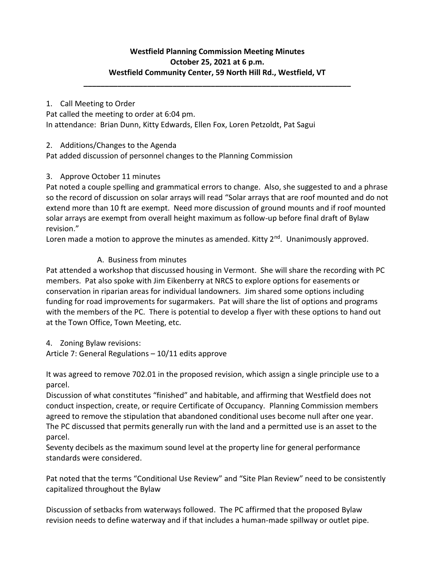# **Westfield Planning Commission Meeting Minutes October 25, 2021 at 6 p.m. Westfield Community Center, 59 North Hill Rd., Westfield, VT**

**\_\_\_\_\_\_\_\_\_\_\_\_\_\_\_\_\_\_\_\_\_\_\_\_\_\_\_\_\_\_\_\_\_\_\_\_\_\_\_\_\_\_\_\_\_\_\_\_\_\_\_\_\_\_\_\_\_\_\_\_\_\_\_**

## 1. Call Meeting to Order

Pat called the meeting to order at 6:04 pm. In attendance: Brian Dunn, Kitty Edwards, Ellen Fox, Loren Petzoldt, Pat Sagui

2. Additions/Changes to the Agenda

Pat added discussion of personnel changes to the Planning Commission

# 3. Approve October 11 minutes

Pat noted a couple spelling and grammatical errors to change. Also, she suggested to and a phrase so the record of discussion on solar arrays will read "Solar arrays that are roof mounted and do not extend more than 10 ft are exempt. Need more discussion of ground mounts and if roof mounted solar arrays are exempt from overall height maximum as follow-up before final draft of Bylaw revision."

Loren made a motion to approve the minutes as amended. Kitty  $2^{nd}$ . Unanimously approved.

# A. Business from minutes

Pat attended a workshop that discussed housing in Vermont. She will share the recording with PC members. Pat also spoke with Jim Eikenberry at NRCS to explore options for easements or conservation in riparian areas for individual landowners. Jim shared some options including funding for road improvements for sugarmakers. Pat will share the list of options and programs with the members of the PC. There is potential to develop a flyer with these options to hand out at the Town Office, Town Meeting, etc.

4. Zoning Bylaw revisions:

Article 7: General Regulations – 10/11 edits approve

It was agreed to remove 702.01 in the proposed revision, which assign a single principle use to a parcel.

Discussion of what constitutes "finished" and habitable, and affirming that Westfield does not conduct inspection, create, or require Certificate of Occupancy. Planning Commission members agreed to remove the stipulation that abandoned conditional uses become null after one year. The PC discussed that permits generally run with the land and a permitted use is an asset to the parcel.

Seventy decibels as the maximum sound level at the property line for general performance standards were considered.

Pat noted that the terms "Conditional Use Review" and "Site Plan Review" need to be consistently capitalized throughout the Bylaw

Discussion of setbacks from waterways followed. The PC affirmed that the proposed Bylaw revision needs to define waterway and if that includes a human-made spillway or outlet pipe.